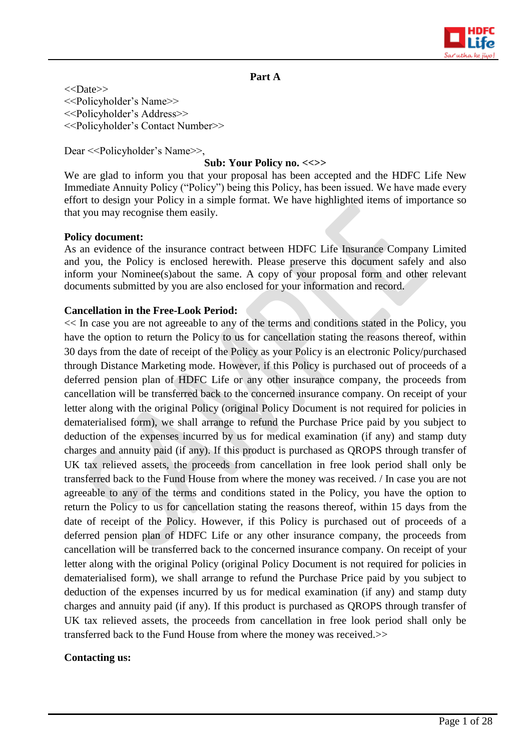

#### **Part A**

<<Date>> <<Policyholder's Name>> <<Policyholder's Address>> <<Policyholder's Contact Number>>

Dear <<Policyholder's Name>>,

#### **Sub: Your Policy no. <<>>**

We are glad to inform you that your proposal has been accepted and the HDFC Life New Immediate Annuity Policy ("Policy") being this Policy, has been issued. We have made every effort to design your Policy in a simple format. We have highlighted items of importance so that you may recognise them easily.

#### **Policy document:**

As an evidence of the insurance contract between HDFC Life Insurance Company Limited and you, the Policy is enclosed herewith. Please preserve this document safely and also inform your Nominee(s)about the same. A copy of your proposal form and other relevant documents submitted by you are also enclosed for your information and record.

#### **Cancellation in the Free-Look Period:**

<< In case you are not agreeable to any of the terms and conditions stated in the Policy, you have the option to return the Policy to us for cancellation stating the reasons thereof, within 30 days from the date of receipt of the Policy as your Policy is an electronic Policy/purchased through Distance Marketing mode. However, if this Policy is purchased out of proceeds of a deferred pension plan of HDFC Life or any other insurance company, the proceeds from cancellation will be transferred back to the concerned insurance company. On receipt of your letter along with the original Policy (original Policy Document is not required for policies in dematerialised form), we shall arrange to refund the Purchase Price paid by you subject to deduction of the expenses incurred by us for medical examination (if any) and stamp duty charges and annuity paid (if any). If this product is purchased as QROPS through transfer of UK tax relieved assets, the proceeds from cancellation in free look period shall only be transferred back to the Fund House from where the money was received. / In case you are not agreeable to any of the terms and conditions stated in the Policy, you have the option to return the Policy to us for cancellation stating the reasons thereof, within 15 days from the date of receipt of the Policy. However, if this Policy is purchased out of proceeds of a deferred pension plan of HDFC Life or any other insurance company, the proceeds from cancellation will be transferred back to the concerned insurance company. On receipt of your letter along with the original Policy (original Policy Document is not required for policies in dematerialised form), we shall arrange to refund the Purchase Price paid by you subject to deduction of the expenses incurred by us for medical examination (if any) and stamp duty charges and annuity paid (if any). If this product is purchased as QROPS through transfer of UK tax relieved assets, the proceeds from cancellation in free look period shall only be transferred back to the Fund House from where the money was received.>>

#### **Contacting us:**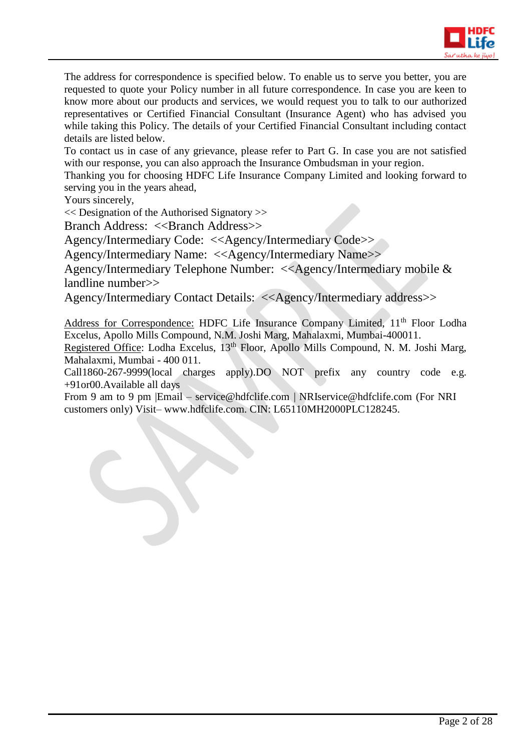

The address for correspondence is specified below. To enable us to serve you better, you are requested to quote your Policy number in all future correspondence. In case you are keen to know more about our products and services, we would request you to talk to our authorized representatives or Certified Financial Consultant (Insurance Agent) who has advised you while taking this Policy. The details of your Certified Financial Consultant including contact details are listed below.

To contact us in case of any grievance, please refer to Part G. In case you are not satisfied with our response, you can also approach the Insurance Ombudsman in your region.

Thanking you for choosing HDFC Life Insurance Company Limited and looking forward to serving you in the years ahead,

Yours sincerely,

<< Designation of the Authorised Signatory >>

Branch Address: <<Br/>Shanch Address>>

Agency/Intermediary Code: <<Agency/Intermediary Code>>

Agency/Intermediary Name: <<Agency/Intermediary Name>>

Agency/Intermediary Telephone Number: <<Agency/Intermediary mobile & landline number>>

Agency/Intermediary Contact Details: <<Agency/Intermediary address>>

Address for Correspondence: HDFC Life Insurance Company Limited, 11<sup>th</sup> Floor Lodha Excelus, Apollo Mills Compound, N.M. Joshi Marg, Mahalaxmi, Mumbai-400011.

Registered Office: Lodha Excelus, 13<sup>th</sup> Floor, Apollo Mills Compound, N. M. Joshi Marg, Mahalaxmi, Mumbai - 400 011.

Call1860-267-9999(local charges apply).DO NOT prefix any country code e.g. +91or00.Available all days

From 9 am to 9 pm |Email – [service@hdfclife.com](mailto:service@hdfclife.com) | [NRIservice@hdfclife.com](mailto:NRIservice@hdfclife.com) (For NRI customers only) Visit– [www.hdfclife.com.](http://www.hdfclife.com/) CIN: L65110MH2000PLC128245.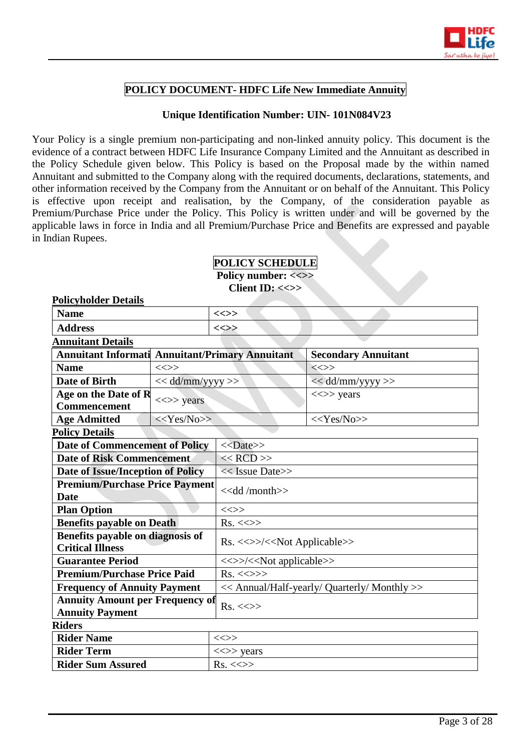

# **POLICY DOCUMENT- HDFC Life New Immediate Annuity**

# **Unique Identification Number: UIN- 101N084V23**

Your Policy is a single premium non-participating and non-linked annuity policy. This document is the evidence of a contract between HDFC Life Insurance Company Limited and the Annuitant as described in the Policy Schedule given below. This Policy is based on the Proposal made by the within named Annuitant and submitted to the Company along with the required documents, declarations, statements, and other information received by the Company from the Annuitant or on behalf of the Annuitant. This Policy is effective upon receipt and realisation, by the Company, of the consideration payable as Premium/Purchase Price under the Policy. This Policy is written under and will be governed by the applicable laws in force in India and all Premium/Purchase Price and Benefits are expressed and payable in Indian Rupees.

# **POLICY SCHEDULE**  Policy number: <<>>

**Policyholder Details**

**Client ID: <<>>**

| <b>Name</b>                                                      |                                              | $\ll >>$                                     |                                         |  |
|------------------------------------------------------------------|----------------------------------------------|----------------------------------------------|-----------------------------------------|--|
| <b>Address</b>                                                   |                                              | <<>>                                         |                                         |  |
| <b>Annuitant Details</b>                                         |                                              |                                              |                                         |  |
| <b>Annuitant Informati Annuitant/Primary Annuitant</b>           |                                              | <b>Secondary Annuitant</b>                   |                                         |  |
| <b>Name</b>                                                      | $\text{}\text{}\text{}\text{}\text{}\text{}$ |                                              | $\iff$                                  |  |
| <b>Date of Birth</b>                                             | << dd/mm/yyyy >>                             |                                              | << dd/mm/yyyy >>                        |  |
| Age on the Date of R<br>Commencement                             | $\langle \langle \rangle \rangle$ years      |                                              | $\langle \langle \rangle \rangle$ years |  |
| <b>Age Admitted</b>                                              | $<<$ Yes/No>>                                |                                              | $<<$ Yes/No>>                           |  |
| <b>Policy Details</b>                                            |                                              |                                              |                                         |  |
| <b>Date of Commencement of Policy</b>                            |                                              | < <date>&gt;</date>                          |                                         |  |
| <b>Date of Risk Commencement</b>                                 |                                              | $<<$ RCD $>>$                                |                                         |  |
| <b>Date of Issue/Inception of Policy</b>                         |                                              | $<<$ Issue Date>>                            |                                         |  |
| <b>Premium/Purchase Price Payment</b><br><b>Date</b>             |                                              | < <dd month="">&gt;</dd>                     |                                         |  |
| <b>Plan Option</b>                                               |                                              | $\iff$                                       |                                         |  |
| <b>Benefits payable on Death</b>                                 |                                              | $Rs. \ll\gg$                                 |                                         |  |
| Benefits payable on diagnosis of<br><b>Critical Illness</b>      |                                              | Rs. <<>>/< <not applicable="">&gt;</not>     |                                         |  |
| <b>Guarantee Period</b>                                          |                                              | <<>>/< <not applicable="">&gt;</not>         |                                         |  |
| <b>Premium/Purchase Price Paid</b>                               |                                              | $Rs. \ll\gg\gg$                              |                                         |  |
| <b>Frequency of Annuity Payment</b>                              |                                              | << Annual/Half-yearly/ Quarterly/ Monthly >> |                                         |  |
| <b>Annuity Amount per Frequency of</b><br><b>Annuity Payment</b> |                                              | $Rs. < \Leftrightarrow$                      |                                         |  |
| <b>Riders</b>                                                    |                                              |                                              |                                         |  |
| <b>Rider Name</b>                                                |                                              | $\ll >>$                                     |                                         |  |
| <b>Rider Term</b>                                                |                                              | $\langle \langle \rangle \rangle$ years      |                                         |  |
| <b>Rider Sum Assured</b>                                         |                                              | $Rs. \ll\gg$                                 |                                         |  |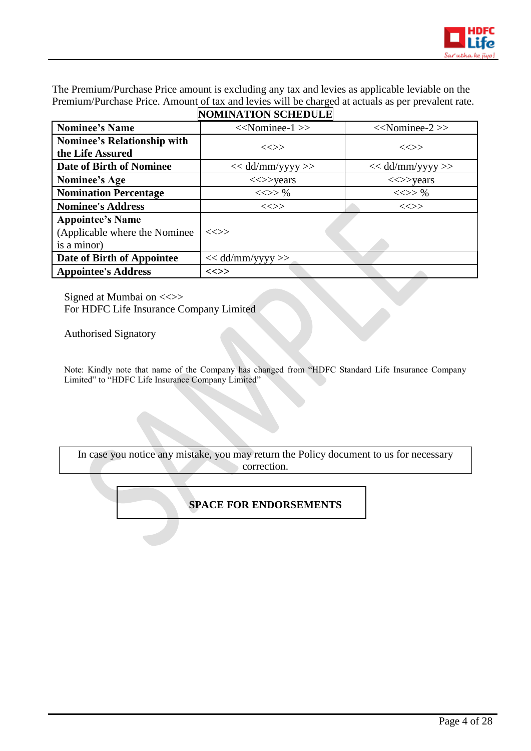

The Premium/Purchase Price amount is excluding any tax and levies as applicable leviable on the Premium/Purchase Price. Amount of tax and levies will be charged at actuals as per prevalent rate.

|                                                                         | <b>NOMINATION SCHEDULE</b>              |                                         |
|-------------------------------------------------------------------------|-----------------------------------------|-----------------------------------------|
| <b>Nominee's Name</b>                                                   | $<<$ Nominee-1 $>>$                     | $<<$ Nominee-2 $>>$                     |
| <b>Nominee's Relationship with</b><br>the Life Assured                  | $\ll >>$                                | $\ll >>$                                |
| Date of Birth of Nominee                                                | $<<$ dd/mm/yyyy >>                      | $<<$ dd/mm/yyyy >>                      |
| Nominee's Age                                                           | $\langle \langle \rangle \rangle$ years | $\langle \langle \rangle \rangle$ years |
| <b>Nomination Percentage</b>                                            | $<<>>\%$                                | $<<>>\%$                                |
| <b>Nominee's Address</b>                                                | $\ll >>$                                | $\ll >>$                                |
| <b>Appointee's Name</b><br>(Applicable where the Nominee<br>is a minor) | <<>>                                    |                                         |
| Date of Birth of Appointee                                              | $<<$ dd/mm/yyyy >>                      |                                         |
| <b>Appointee's Address</b>                                              | $\ll >>$                                |                                         |

Signed at Mumbai on  $\ll\gg$ 

For HDFC Life Insurance Company Limited

Authorised Signatory

Note: Kindly note that name of the Company has changed from "HDFC Standard Life Insurance Company Limited" to "HDFC Life Insurance Company Limited"

In case you notice any mistake, you may return the Policy document to us for necessary correction.

# **SPACE FOR ENDORSEMENTS**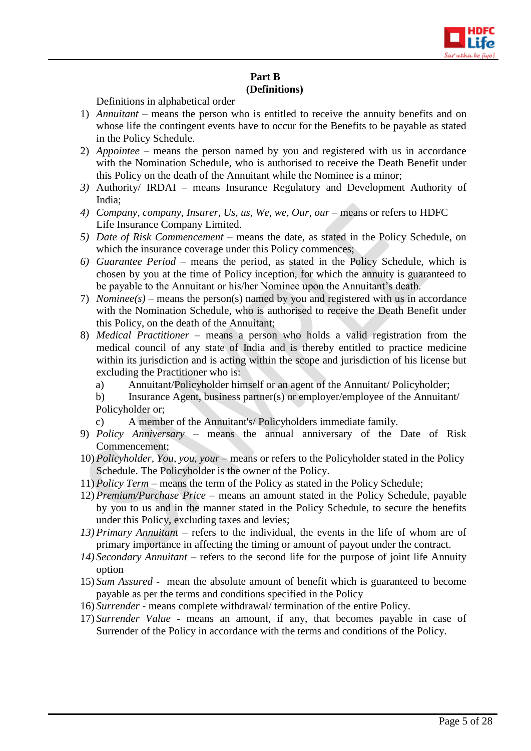

# **Part B (Definitions)**

Definitions in alphabetical order

- 1) *Annuitant –* means the person who is entitled to receive the annuity benefits and on whose life the contingent events have to occur for the Benefits to be payable as stated in the Policy Schedule.
- 2) *Appointee –* means the person named by you and registered with us in accordance with the Nomination Schedule, who is authorised to receive the Death Benefit under this Policy on the death of the Annuitant while the Nominee is a minor;
- *3)* Authority/ IRDAI means Insurance Regulatory and Development Authority of India;
- *4) Company, company, Insurer, Us, us, We, we, Our, our means or refers to HDFC* Life Insurance Company Limited.
- *5) Date of Risk Commencement –* means the date, as stated in the Policy Schedule, on which the insurance coverage under this Policy commences;
- *6) Guarantee Period*  means the period, as stated in the Policy Schedule, which is chosen by you at the time of Policy inception, for which the annuity is guaranteed to be payable to the Annuitant or his/her Nominee upon the Annuitant's death.
- 7) *Nominee(s) –* means the person(s) named by you and registered with us in accordance with the Nomination Schedule, who is authorised to receive the Death Benefit under this Policy, on the death of the Annuitant;
- 8) *Medical Practitioner*  means a person who holds a valid registration from the medical council of any state of India and is thereby entitled to practice medicine within its jurisdiction and is acting within the scope and jurisdiction of his license but excluding the Practitioner who is:
	- a) Annuitant/Policyholder himself or an agent of the Annuitant/ Policyholder;
	- b) Insurance Agent, business partner(s) or employer/employee of the Annuitant/ Policyholder or;
	- c) A member of the Annuitant's/ Policyholders immediate family.
- 9) *Policy Anniversary* means the annual anniversary of the Date of Risk Commencement;
- 10) *Policyholder, You, you, your* means or refers to the Policyholder stated in the Policy Schedule. The Policyholder is the owner of the Policy.
- 11) *Policy Term*  means the term of the Policy as stated in the Policy Schedule;
- 12) *Premium/Purchase Price*  means an amount stated in the Policy Schedule, payable by you to us and in the manner stated in the Policy Schedule, to secure the benefits under this Policy, excluding taxes and levies;
- *13) Primary Annuitant –* refers to the individual, the events in the life of whom are of primary importance in affecting the timing or amount of payout under the contract.
- *14) Secondary Annuitant* refers to the second life for the purpose of joint life Annuity option
- 15) *Sum Assured* mean the absolute amount of benefit which is guaranteed to become payable as per the terms and conditions specified in the Policy
- 16) *Surrender* means complete withdrawal/ termination of the entire Policy.
- 17) *Surrender Value* means an amount, if any, that becomes payable in case of Surrender of the Policy in accordance with the terms and conditions of the Policy.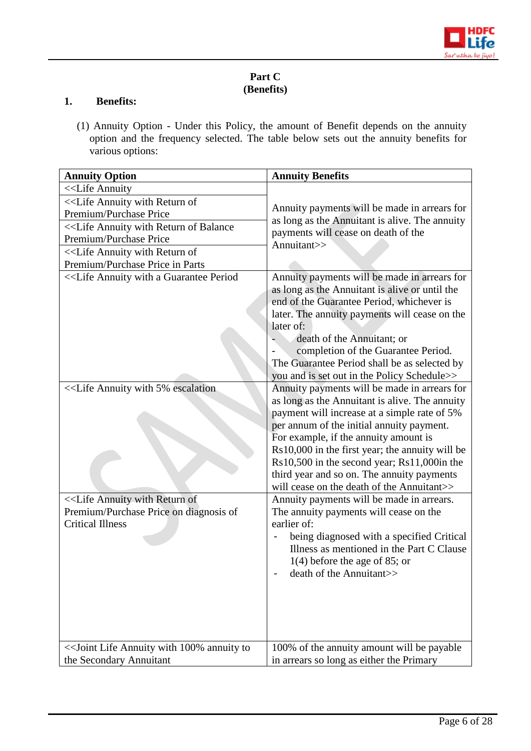

# **Part C (Benefits)**

#### **1. Benefits:**

(1) Annuity Option - Under this Policy, the amount of Benefit depends on the annuity option and the frequency selected. The table below sets out the annuity benefits for various options:

| <b>Annuity Option</b>                                                                                                                  | <b>Annuity Benefits</b>                                                                                                                                                                                                                                                                                                                                                                                                            |  |
|----------------------------------------------------------------------------------------------------------------------------------------|------------------------------------------------------------------------------------------------------------------------------------------------------------------------------------------------------------------------------------------------------------------------------------------------------------------------------------------------------------------------------------------------------------------------------------|--|
| < <life annuity<="" td=""><td></td></life>                                                                                             |                                                                                                                                                                                                                                                                                                                                                                                                                                    |  |
| < <life annuity="" of<="" return="" td="" with=""><td colspan="2" rowspan="2">Annuity payments will be made in arrears for</td></life> | Annuity payments will be made in arrears for                                                                                                                                                                                                                                                                                                                                                                                       |  |
| Premium/Purchase Price                                                                                                                 |                                                                                                                                                                                                                                                                                                                                                                                                                                    |  |
| < <life annuity="" balance<="" of="" return="" td="" with=""><td>as long as the Annuitant is alive. The annuity</td></life>            | as long as the Annuitant is alive. The annuity                                                                                                                                                                                                                                                                                                                                                                                     |  |
| Premium/Purchase Price                                                                                                                 | payments will cease on death of the                                                                                                                                                                                                                                                                                                                                                                                                |  |
| < <life annuity="" of<="" return="" td="" with=""><td>Annuitant&gt;&gt;</td></life>                                                    | Annuitant>>                                                                                                                                                                                                                                                                                                                                                                                                                        |  |
| Premium/Purchase Price in Parts                                                                                                        |                                                                                                                                                                                                                                                                                                                                                                                                                                    |  |
|                                                                                                                                        | Annuity payments will be made in arrears for<br>as long as the Annuitant is alive or until the<br>end of the Guarantee Period, whichever is<br>later. The annuity payments will cease on the<br>later of:<br>death of the Annuitant; or<br>completion of the Guarantee Period.<br>The Guarantee Period shall be as selected by<br>you and is set out in the Policy Schedule>>                                                      |  |
|                                                                                                                                        | Annuity payments will be made in arrears for<br>as long as the Annuitant is alive. The annuity<br>payment will increase at a simple rate of 5%<br>per annum of the initial annuity payment.<br>For example, if the annuity amount is<br>Rs10,000 in the first year; the annuity will be<br>Rs10,500 in the second year; Rs11,000in the<br>third year and so on. The annuity payments<br>will cease on the death of the Annuitant>> |  |
| < <life annuity="" of<br="" return="" with="">Premium/Purchase Price on diagnosis of<br/><b>Critical Illness</b></life>                | Annuity payments will be made in arrears.<br>The annuity payments will cease on the<br>earlier of:<br>being diagnosed with a specified Critical<br>Illness as mentioned in the Part C Clause<br>$1(4)$ before the age of 85; or<br>death of the Annuitant>>                                                                                                                                                                        |  |
| << Joint Life Annuity with 100% annuity to                                                                                             | 100% of the annuity amount will be payable                                                                                                                                                                                                                                                                                                                                                                                         |  |
| the Secondary Annuitant                                                                                                                | in arrears so long as either the Primary                                                                                                                                                                                                                                                                                                                                                                                           |  |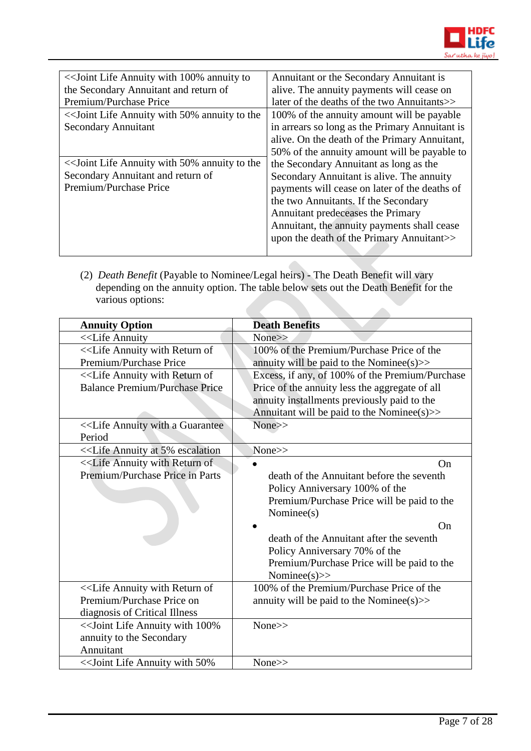

| < <a>Soint Life Annuity with 100% annuity to</a> | Annuitant or the Secondary Annuitant is        |
|--------------------------------------------------|------------------------------------------------|
| the Secondary Annuitant and return of            | alive. The annuity payments will cease on      |
| Premium/Purchase Price                           | later of the deaths of the two Annuitants>>    |
| << Joint Life Annuity with 50% annuity to the    | 100% of the annuity amount will be payable     |
| <b>Secondary Annuitant</b>                       | in arrears so long as the Primary Annuitant is |
|                                                  | alive. On the death of the Primary Annuitant,  |
|                                                  | 50% of the annuity amount will be payable to   |
| << Joint Life Annuity with 50% annuity to the    | the Secondary Annuitant as long as the         |
| Secondary Annuitant and return of                | Secondary Annuitant is alive. The annuity      |
| Premium/Purchase Price                           | payments will cease on later of the deaths of  |
|                                                  | the two Annuitants. If the Secondary           |
|                                                  | Annuitant predeceases the Primary              |
|                                                  | Annuitant, the annuity payments shall cease    |
|                                                  | upon the death of the Primary Annuitant>>      |
|                                                  |                                                |

(2) *Death Benefit* (Payable to Nominee/Legal heirs) - The Death Benefit will vary depending on the annuity option. The table below sets out the Death Benefit for the various options: 

| <b>Annuity Option</b>                                                                                             | <b>Death Benefits</b>                           |
|-------------------------------------------------------------------------------------------------------------------|-------------------------------------------------|
| < <life annuity<="" td=""><td>None&gt;&gt;</td></life>                                                            | None>>                                          |
| < <life annuity="" of<="" return="" td="" with=""><td>100% of the Premium/Purchase Price of the</td></life>       | 100% of the Premium/Purchase Price of the       |
| Premium/Purchase Price                                                                                            | annuity will be paid to the Nominee( $s$ ) $>$  |
| < <life annuity="" of<="" return="" td="" with=""><td>Excess, if any, of 100% of the Premium/Purchase</td></life> | Excess, if any, of 100% of the Premium/Purchase |
| <b>Balance Premium/Purchase Price</b>                                                                             | Price of the annuity less the aggregate of all  |
|                                                                                                                   | annuity installments previously paid to the     |
|                                                                                                                   | Annuitant will be paid to the Nominee(s) $\gg$  |
|                                                                                                                   | $None \rightarrow$                              |
| Period                                                                                                            |                                                 |
| < <life 5%="" annuity="" at="" escalation<="" td=""><td>None&gt;&gt;</td></life>                                  | None>>                                          |
| < <life annuity="" of<="" return="" td="" with=""><td>On</td></life>                                              | On                                              |
| Premium/Purchase Price in Parts                                                                                   | death of the Annuitant before the seventh       |
|                                                                                                                   | Policy Anniversary 100% of the                  |
|                                                                                                                   | Premium/Purchase Price will be paid to the      |
|                                                                                                                   | Nominee(s)                                      |
|                                                                                                                   | On                                              |
|                                                                                                                   | death of the Annuitant after the seventh        |
|                                                                                                                   | Policy Anniversary 70% of the                   |
|                                                                                                                   | Premium/Purchase Price will be paid to the      |
|                                                                                                                   | Nominee( $s$ )>>                                |
| < <life annuity="" of<="" return="" td="" with=""><td>100% of the Premium/Purchase Price of the</td></life>       | 100% of the Premium/Purchase Price of the       |
| Premium/Purchase Price on                                                                                         | annuity will be paid to the Nominee( $s$ ) $>$  |
| diagnosis of Critical Illness                                                                                     |                                                 |
| << Joint Life Annuity with 100%                                                                                   | None>>                                          |
| annuity to the Secondary                                                                                          |                                                 |
| Annuitant                                                                                                         |                                                 |
| << Joint Life Annuity with 50%                                                                                    | $None \ge$                                      |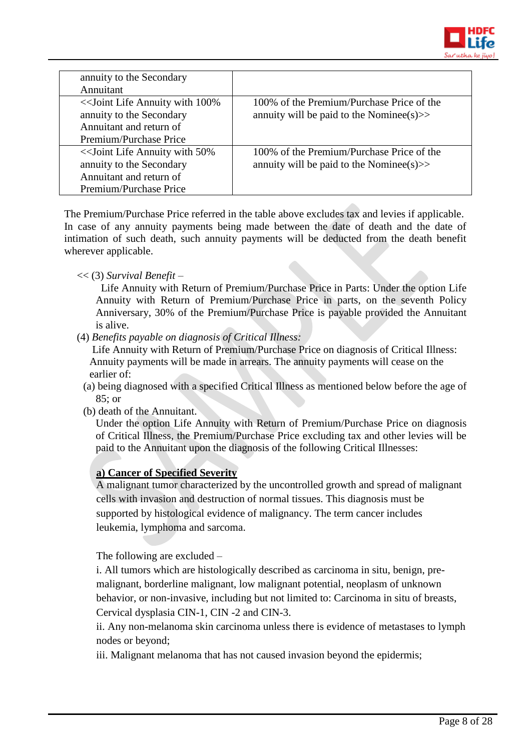

| annuity to the Secondary<br>Annuitant                                                           |                                                                                         |
|-------------------------------------------------------------------------------------------------|-----------------------------------------------------------------------------------------|
| < <a>Sout<br/>Life Annuity with 100%</a><br>annuity to the Secondary<br>Annuitant and return of | 100% of the Premium/Purchase Price of the<br>annuity will be paid to the Nominee(s) $>$ |
| Premium/Purchase Price                                                                          |                                                                                         |
| << Joint Life Annuity with 50%<br>annuity to the Secondary                                      | 100% of the Premium/Purchase Price of the<br>annuity will be paid to the Nominee(s) $>$ |
| Annuitant and return of                                                                         |                                                                                         |
| Premium/Purchase Price                                                                          |                                                                                         |

The Premium/Purchase Price referred in the table above excludes tax and levies if applicable. In case of any annuity payments being made between the date of death and the date of intimation of such death, such annuity payments will be deducted from the death benefit wherever applicable.

# << (3) *Survival Benefit* –

 Life Annuity with Return of Premium/Purchase Price in Parts: Under the option Life Annuity with Return of Premium/Purchase Price in parts, on the seventh Policy Anniversary, 30% of the Premium/Purchase Price is payable provided the Annuitant is alive.

(4) *Benefits payable on diagnosis of Critical Illness:*

Life Annuity with Return of Premium/Purchase Price on diagnosis of Critical Illness: Annuity payments will be made in arrears. The annuity payments will cease on the earlier of:

- (a) being diagnosed with a specified Critical Illness as mentioned below before the age of 85; or
- (b) death of the Annuitant.

Under the option Life Annuity with Return of Premium/Purchase Price on diagnosis of Critical Illness, the Premium/Purchase Price excluding tax and other levies will be paid to the Annuitant upon the diagnosis of the following Critical Illnesses:

# **a) Cancer of Specified Severity**

A malignant tumor characterized by the uncontrolled growth and spread of malignant cells with invasion and destruction of normal tissues. This diagnosis must be supported by histological evidence of malignancy. The term cancer includes leukemia, lymphoma and sarcoma.

The following are excluded –

i. All tumors which are histologically described as carcinoma in situ, benign, premalignant, borderline malignant, low malignant potential, neoplasm of unknown behavior, or non-invasive, including but not limited to: Carcinoma in situ of breasts, Cervical dysplasia CIN-1, CIN -2 and CIN-3.

ii. Any non-melanoma skin carcinoma unless there is evidence of metastases to lymph nodes or beyond;

iii. Malignant melanoma that has not caused invasion beyond the epidermis;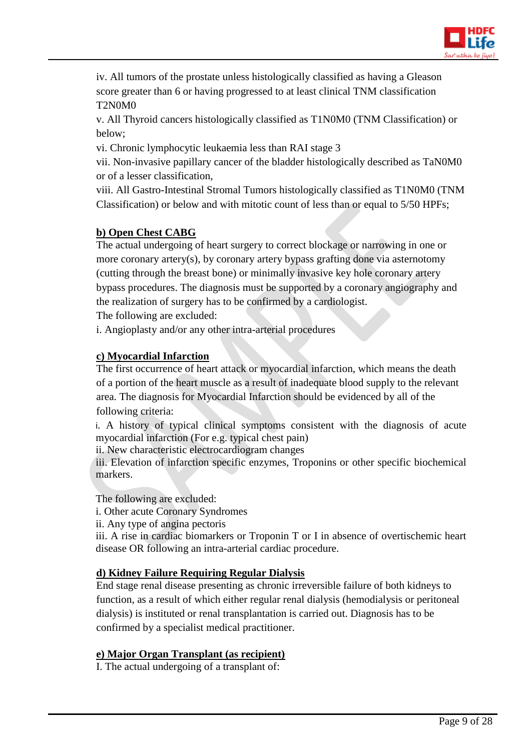

iv. All tumors of the prostate unless histologically classified as having a Gleason score greater than 6 or having progressed to at least clinical TNM classification T2N0M0

v. All Thyroid cancers histologically classified as T1N0M0 (TNM Classification) or below;

vi. Chronic lymphocytic leukaemia less than RAI stage 3

vii. Non-invasive papillary cancer of the bladder histologically described as TaN0M0 or of a lesser classification,

viii. All Gastro-Intestinal Stromal Tumors histologically classified as T1N0M0 (TNM Classification) or below and with mitotic count of less than or equal to 5/50 HPFs;

# **b) Open Chest CABG**

The actual undergoing of heart surgery to correct blockage or narrowing in one or more coronary artery(s), by coronary artery bypass grafting done via asternotomy (cutting through the breast bone) or minimally invasive key hole coronary artery bypass procedures. The diagnosis must be supported by a coronary angiography and the realization of surgery has to be confirmed by a cardiologist.

The following are excluded:

i. Angioplasty and/or any other intra-arterial procedures

# **c) Myocardial Infarction**

The first occurrence of heart attack or myocardial infarction, which means the death of a portion of the heart muscle as a result of inadequate blood supply to the relevant area. The diagnosis for Myocardial Infarction should be evidenced by all of the following criteria:

i. A history of typical clinical symptoms consistent with the diagnosis of acute myocardial infarction (For e.g. typical chest pain)

ii. New characteristic electrocardiogram changes

iii. Elevation of infarction specific enzymes, Troponins or other specific biochemical markers.

The following are excluded:

i. Other acute Coronary Syndromes

ii. Any type of angina pectoris

iii. A rise in cardiac biomarkers or Troponin T or I in absence of overtischemic heart disease OR following an intra-arterial cardiac procedure.

# **d) Kidney Failure Requiring Regular Dialysis**

End stage renal disease presenting as chronic irreversible failure of both kidneys to function, as a result of which either regular renal dialysis (hemodialysis or peritoneal dialysis) is instituted or renal transplantation is carried out. Diagnosis has to be confirmed by a specialist medical practitioner.

# **e) Major Organ Transplant (as recipient)**

I. The actual undergoing of a transplant of: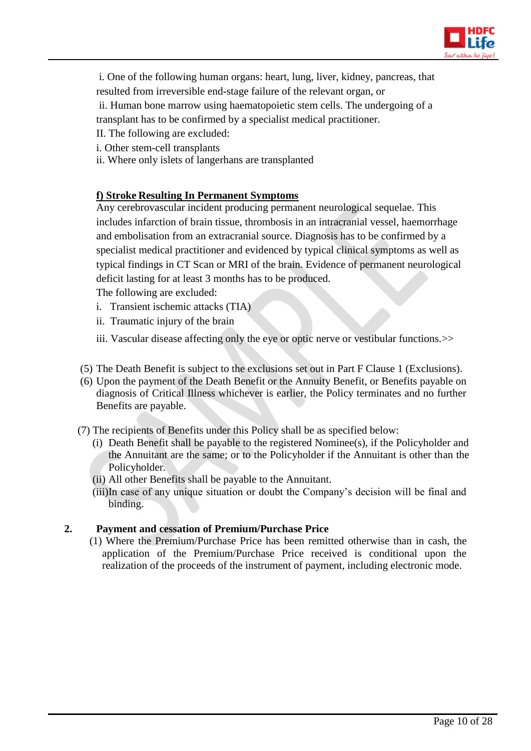

- i. One of the following human organs: heart, lung, liver, kidney, pancreas, that
- resulted from irreversible end-stage failure of the relevant organ, or

ii. Human bone marrow using haematopoietic stem cells. The undergoing of a transplant has to be confirmed by a specialist medical practitioner.

- II. The following are excluded:
- i. Other stem-cell transplants
- ii. Where only islets of langerhans are transplanted

# **f) Stroke Resulting In Permanent Symptoms**

Any cerebrovascular incident producing permanent neurological sequelae. This includes infarction of brain tissue, thrombosis in an intracranial vessel, haemorrhage and embolisation from an extracranial source. Diagnosis has to be confirmed by a specialist medical practitioner and evidenced by typical clinical symptoms as well as typical findings in CT Scan or MRI of the brain. Evidence of permanent neurological deficit lasting for at least 3 months has to be produced.

The following are excluded:

- i.Transient ischemic attacks (TIA)
- ii. Traumatic injury of the brain
- iii. Vascular disease affecting only the eye or optic nerve or vestibular functions. >>
- (5) The Death Benefit is subject to the exclusions set out in Part F Clause 1 (Exclusions).
- (6) Upon the payment of the Death Benefit or the Annuity Benefit, or Benefits payable on diagnosis of Critical Illness whichever is earlier, the Policy terminates and no further Benefits are payable.
- (7) The recipients of Benefits under this Policy shall be as specified below:
	- (i) Death Benefit shall be payable to the registered Nominee(s), if the Policyholder and the Annuitant are the same; or to the Policyholder if the Annuitant is other than the Policyholder.
	- (ii) All other Benefits shall be payable to the Annuitant.
	- (iii)In case of any unique situation or doubt the Company's decision will be final and binding.

# **2. Payment and cessation of Premium/Purchase Price**

(1) Where the Premium/Purchase Price has been remitted otherwise than in cash, the application of the Premium/Purchase Price received is conditional upon the realization of the proceeds of the instrument of payment, including electronic mode.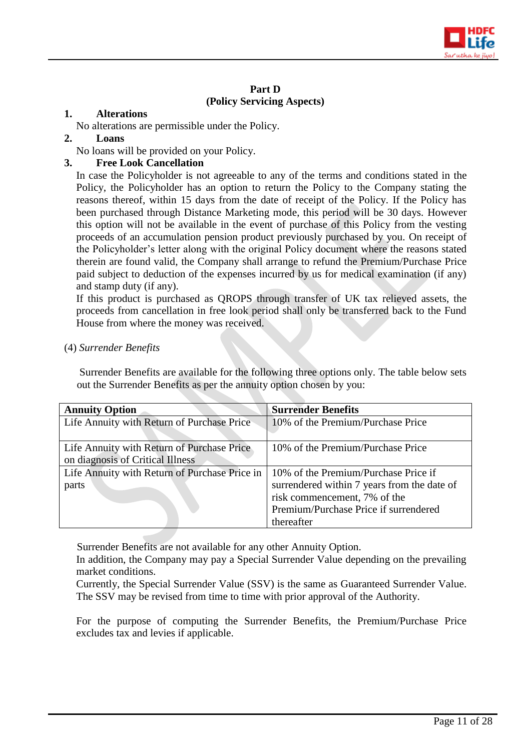

# **Part D (Policy Servicing Aspects)**

#### **1. Alterations**

No alterations are permissible under the Policy.

#### **2. Loans**

No loans will be provided on your Policy.

# **3. Free Look Cancellation**

In case the Policyholder is not agreeable to any of the terms and conditions stated in the Policy, the Policyholder has an option to return the Policy to the Company stating the reasons thereof, within 15 days from the date of receipt of the Policy. If the Policy has been purchased through Distance Marketing mode, this period will be 30 days. However this option will not be available in the event of purchase of this Policy from the vesting proceeds of an accumulation pension product previously purchased by you. On receipt of the Policyholder's letter along with the original Policy document where the reasons stated therein are found valid, the Company shall arrange to refund the Premium/Purchase Price paid subject to deduction of the expenses incurred by us for medical examination (if any) and stamp duty (if any).

If this product is purchased as QROPS through transfer of UK tax relieved assets, the proceeds from cancellation in free look period shall only be transferred back to the Fund House from where the money was received.

#### (4) *Surrender Benefits*

Surrender Benefits are available for the following three options only. The table below sets out the Surrender Benefits as per the annuity option chosen by you:

| <b>Annuity Option</b>                         | <b>Surrender Benefits</b>                   |  |
|-----------------------------------------------|---------------------------------------------|--|
| Life Annuity with Return of Purchase Price    | 10% of the Premium/Purchase Price           |  |
|                                               |                                             |  |
| Life Annuity with Return of Purchase Price    | 10% of the Premium/Purchase Price           |  |
| on diagnosis of Critical Illness              |                                             |  |
| Life Annuity with Return of Purchase Price in | 10% of the Premium/Purchase Price if        |  |
| parts                                         | surrendered within 7 years from the date of |  |
|                                               | risk commencement, 7% of the                |  |
|                                               | Premium/Purchase Price if surrendered       |  |
|                                               | thereafter                                  |  |

Surrender Benefits are not available for any other Annuity Option.

In addition, the Company may pay a Special Surrender Value depending on the prevailing market conditions.

Currently, the Special Surrender Value (SSV) is the same as Guaranteed Surrender Value. The SSV may be revised from time to time with prior approval of the Authority.

For the purpose of computing the Surrender Benefits, the Premium/Purchase Price excludes tax and levies if applicable.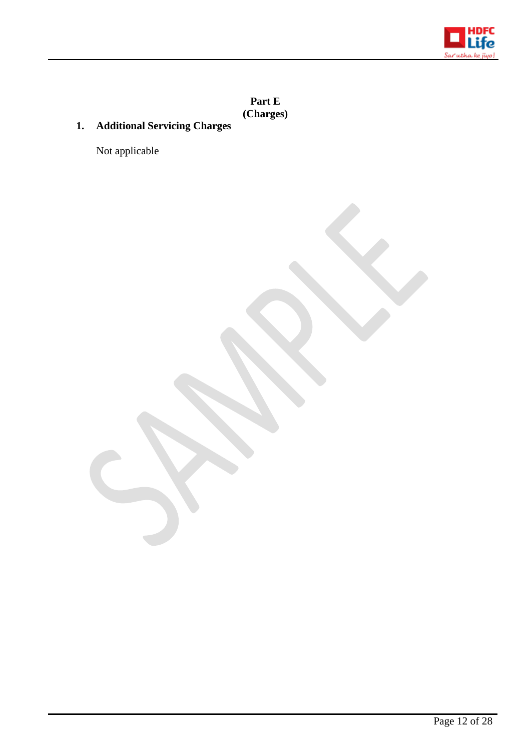

**Part E (Charges)**

# **1. Additional Servicing Charges**

Not applicable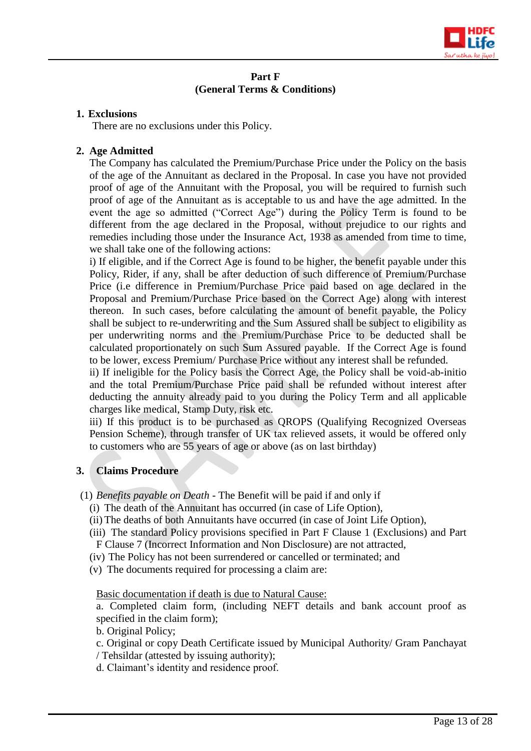

#### **Part F (General Terms & Conditions)**

#### **1. Exclusions**

There are no exclusions under this Policy.

# **2. Age Admitted**

The Company has calculated the Premium/Purchase Price under the Policy on the basis of the age of the Annuitant as declared in the Proposal. In case you have not provided proof of age of the Annuitant with the Proposal, you will be required to furnish such proof of age of the Annuitant as is acceptable to us and have the age admitted. In the event the age so admitted ("Correct Age") during the Policy Term is found to be different from the age declared in the Proposal, without prejudice to our rights and remedies including those under the Insurance Act, 1938 as amended from time to time, we shall take one of the following actions:

i) If eligible, and if the Correct Age is found to be higher, the benefit payable under this Policy, Rider, if any, shall be after deduction of such difference of Premium/Purchase Price (i.e difference in Premium/Purchase Price paid based on age declared in the Proposal and Premium/Purchase Price based on the Correct Age) along with interest thereon. In such cases, before calculating the amount of benefit payable, the Policy shall be subject to re-underwriting and the Sum Assured shall be subject to eligibility as per underwriting norms and the Premium/Purchase Price to be deducted shall be calculated proportionately on such Sum Assured payable. If the Correct Age is found to be lower, excess Premium/ Purchase Price without any interest shall be refunded.

ii) If ineligible for the Policy basis the Correct Age, the Policy shall be void-ab-initio and the total Premium/Purchase Price paid shall be refunded without interest after deducting the annuity already paid to you during the Policy Term and all applicable charges like medical, Stamp Duty, risk etc.

iii) If this product is to be purchased as QROPS (Qualifying Recognized Overseas Pension Scheme), through transfer of UK tax relieved assets, it would be offered only to customers who are 55 years of age or above (as on last birthday)

# **3. Claims Procedure**

- (1) *Benefits payable on Death -* The Benefit will be paid if and only if
	- (i) The death of the Annuitant has occurred (in case of Life Option),
	- (ii) The deaths of both Annuitants have occurred (in case of Joint Life Option),
	- (iii) The standard Policy provisions specified in Part F Clause 1 (Exclusions) and Part F Clause 7 (Incorrect Information and Non Disclosure) are not attracted,
	- (iv) The Policy has not been surrendered or cancelled or terminated; and
	- (v) The documents required for processing a claim are:

Basic documentation if death is due to Natural Cause:

a. Completed claim form, (including NEFT details and bank account proof as specified in the claim form);

b. Original Policy;

- c. Original or copy Death Certificate issued by Municipal Authority/ Gram Panchayat
- / Tehsildar (attested by issuing authority);
- d. Claimant's identity and residence proof.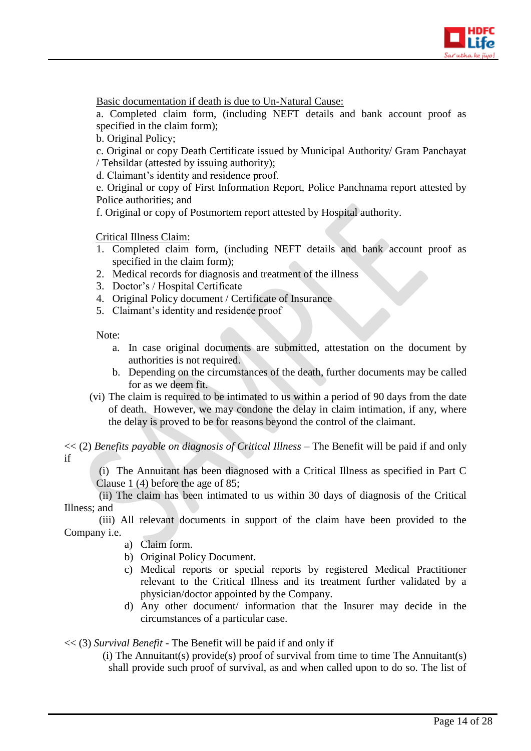

Basic documentation if death is due to Un-Natural Cause:

a. Completed claim form, (including NEFT details and bank account proof as specified in the claim form);

b. Original Policy;

c. Original or copy Death Certificate issued by Municipal Authority/ Gram Panchayat / Tehsildar (attested by issuing authority);

d. Claimant's identity and residence proof.

e. Original or copy of First Information Report, Police Panchnama report attested by Police authorities; and

f. Original or copy of Postmortem report attested by Hospital authority.

Critical Illness Claim:

- 1. Completed claim form, (including NEFT details and bank account proof as specified in the claim form);
- 2. Medical records for diagnosis and treatment of the illness
- 3. Doctor's / Hospital Certificate
- 4. Original Policy document / Certificate of Insurance
- 5. Claimant's identity and residence proof

Note:

- a. In case original documents are submitted, attestation on the document by authorities is not required.
- b. Depending on the circumstances of the death, further documents may be called for as we deem fit.
- (vi) The claim is required to be intimated to us within a period of 90 days from the date of death. However, we may condone the delay in claim intimation, if any, where the delay is proved to be for reasons beyond the control of the claimant.

<< (2) *Benefits payable on diagnosis of Critical Illness –* The Benefit will be paid if and only if

(i) The Annuitant has been diagnosed with a Critical Illness as specified in Part C Clause 1 (4) before the age of 85;

 (ii) The claim has been intimated to us within 30 days of diagnosis of the Critical Illness; and

 (iii) All relevant documents in support of the claim have been provided to the Company i.e.

- a) Claim form.
- b) Original Policy Document.
- c) Medical reports or special reports by registered Medical Practitioner relevant to the Critical Illness and its treatment further validated by a physician/doctor appointed by the Company.
- d) Any other document/ information that the Insurer may decide in the circumstances of a particular case.

<< (3) *Survival Benefit -* The Benefit will be paid if and only if

(i) The Annuitant(s) provide(s) proof of survival from time to time The Annuitant(s) shall provide such proof of survival, as and when called upon to do so. The list of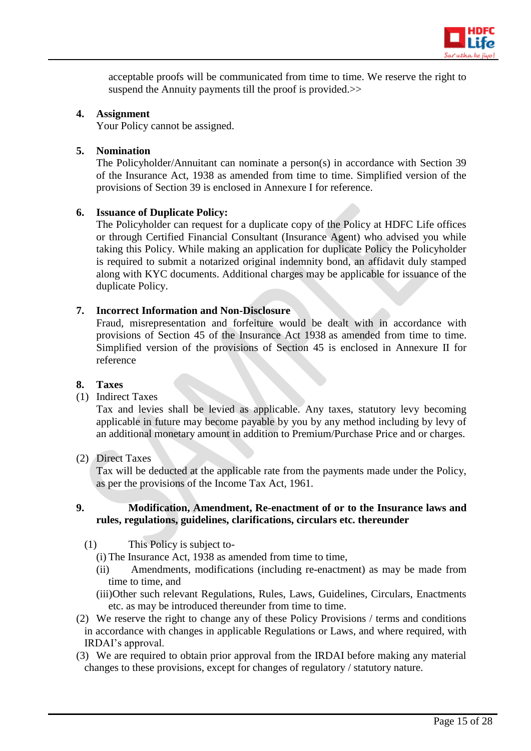

acceptable proofs will be communicated from time to time. We reserve the right to suspend the Annuity payments till the proof is provided.>>

#### **4. Assignment**

Your Policy cannot be assigned.

#### **5. Nomination**

The Policyholder/Annuitant can nominate a person(s) in accordance with Section 39 of the Insurance Act, 1938 as amended from time to time. Simplified version of the provisions of Section 39 is enclosed in Annexure I for reference.

#### **6. Issuance of Duplicate Policy:**

The Policyholder can request for a duplicate copy of the Policy at HDFC Life offices or through Certified Financial Consultant (Insurance Agent) who advised you while taking this Policy. While making an application for duplicate Policy the Policyholder is required to submit a notarized original indemnity bond, an affidavit duly stamped along with KYC documents. Additional charges may be applicable for issuance of the duplicate Policy.

# **7. Incorrect Information and Non-Disclosure**

Fraud, misrepresentation and forfeiture would be dealt with in accordance with provisions of Section 45 of the Insurance Act 1938 as amended from time to time. Simplified version of the provisions of Section 45 is enclosed in Annexure II for reference

#### **8. Taxes**

#### (1) Indirect Taxes

Tax and levies shall be levied as applicable. Any taxes, statutory levy becoming applicable in future may become payable by you by any method including by levy of an additional monetary amount in addition to Premium/Purchase Price and or charges.

# (2) Direct Taxes

Tax will be deducted at the applicable rate from the payments made under the Policy, as per the provisions of the Income Tax Act, 1961.

#### **9. Modification, Amendment, Re-enactment of or to the Insurance laws and rules, regulations, guidelines, clarifications, circulars etc. thereunder**

- (1) This Policy is subject to-
	- (i) The Insurance Act, 1938 as amended from time to time,
	- (ii) Amendments, modifications (including re-enactment) as may be made from time to time, and
	- (iii)Other such relevant Regulations, Rules, Laws, Guidelines, Circulars, Enactments etc. as may be introduced thereunder from time to time.
- (2) We reserve the right to change any of these Policy Provisions / terms and conditions in accordance with changes in applicable Regulations or Laws, and where required, with IRDAI's approval.
- (3) We are required to obtain prior approval from the IRDAI before making any material changes to these provisions, except for changes of regulatory / statutory nature.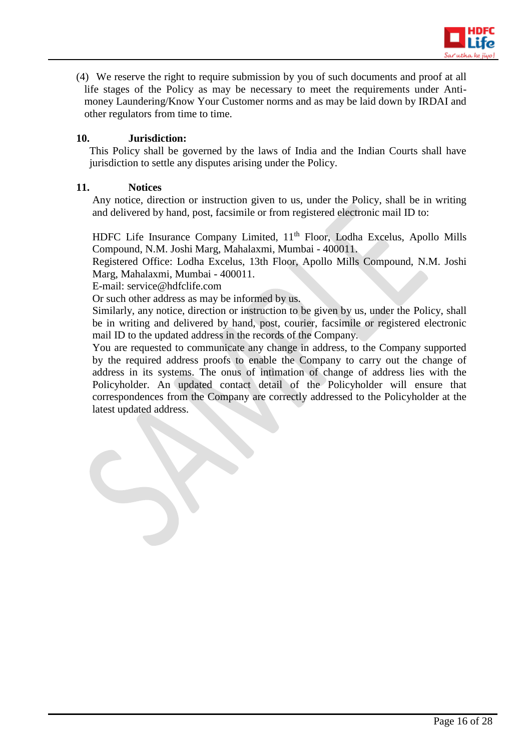

(4) We reserve the right to require submission by you of such documents and proof at all life stages of the Policy as may be necessary to meet the requirements under Antimoney Laundering/Know Your Customer norms and as may be laid down by IRDAI and other regulators from time to time.

#### **10. Jurisdiction:**

This Policy shall be governed by the laws of India and the Indian Courts shall have jurisdiction to settle any disputes arising under the Policy.

#### **11. Notices**

Any notice, direction or instruction given to us, under the Policy, shall be in writing and delivered by hand, post, facsimile or from registered electronic mail ID to:

HDFC Life Insurance Company Limited, 11<sup>th</sup> Floor, Lodha Excelus, Apollo Mills Compound, N.M. Joshi Marg, Mahalaxmi, Mumbai - 400011.

Registered Office: Lodha Excelus, 13th Floor, Apollo Mills Compound, N.M. Joshi Marg, Mahalaxmi, Mumbai - 400011.

E-mail: service@hdfclife.com

Or such other address as may be informed by us.

Similarly, any notice, direction or instruction to be given by us, under the Policy, shall be in writing and delivered by hand, post, courier, facsimile or registered electronic mail ID to the updated address in the records of the Company.

You are requested to communicate any change in address, to the Company supported by the required address proofs to enable the Company to carry out the change of address in its systems. The onus of intimation of change of address lies with the Policyholder. An updated contact detail of the Policyholder will ensure that correspondences from the Company are correctly addressed to the Policyholder at the latest updated address.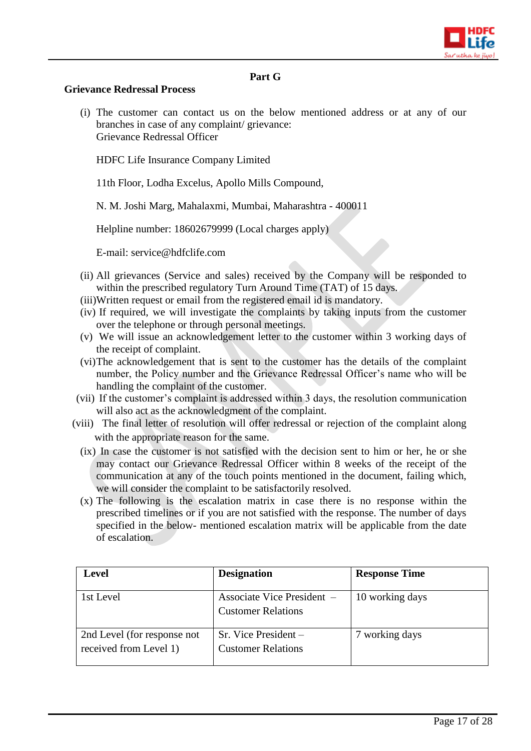

#### **Part G**

#### **Grievance Redressal Process**

(i) The customer can contact us on the below mentioned address or at any of our branches in case of any complaint/ grievance: Grievance Redressal Officer

HDFC Life Insurance Company Limited

11th Floor, Lodha Excelus, Apollo Mills Compound,

N. M. Joshi Marg, Mahalaxmi, Mumbai, Maharashtra - 400011

Helpline number: 18602679999 (Local charges apply)

E-mail: [service@hdfclife.com](mailto:service@hdfclife.com)

- (ii) All grievances (Service and sales) received by the Company will be responded to within the prescribed regulatory Turn Around Time (TAT) of 15 days.
- (iii)Written request or email from the registered email id is mandatory.
- (iv) If required, we will investigate the complaints by taking inputs from the customer over the telephone or through personal meetings.
- (v) We will issue an acknowledgement letter to the customer within 3 working days of the receipt of complaint.
- (vi)The acknowledgement that is sent to the customer has the details of the complaint number, the Policy number and the Grievance Redressal Officer's name who will be handling the complaint of the customer.
- (vii) If the customer's complaint is addressed within 3 days, the resolution communication will also act as the acknowledgment of the complaint.
- (viii) The final letter of resolution will offer redressal or rejection of the complaint along with the appropriate reason for the same.
	- (ix) In case the customer is not satisfied with the decision sent to him or her, he or she may contact our Grievance Redressal Officer within 8 weeks of the receipt of the communication at any of the touch points mentioned in the document, failing which, we will consider the complaint to be satisfactorily resolved.
	- (x) The following is the escalation matrix in case there is no response within the prescribed timelines or if you are not satisfied with the response. The number of days specified in the below- mentioned escalation matrix will be applicable from the date of escalation.

| Level                                                 | <b>Designation</b>                                      | <b>Response Time</b> |
|-------------------------------------------------------|---------------------------------------------------------|----------------------|
| 1st Level                                             | Associate Vice President –<br><b>Customer Relations</b> | 10 working days      |
| 2nd Level (for response not<br>received from Level 1) | $Sr.$ Vice President $-$<br><b>Customer Relations</b>   | 7 working days       |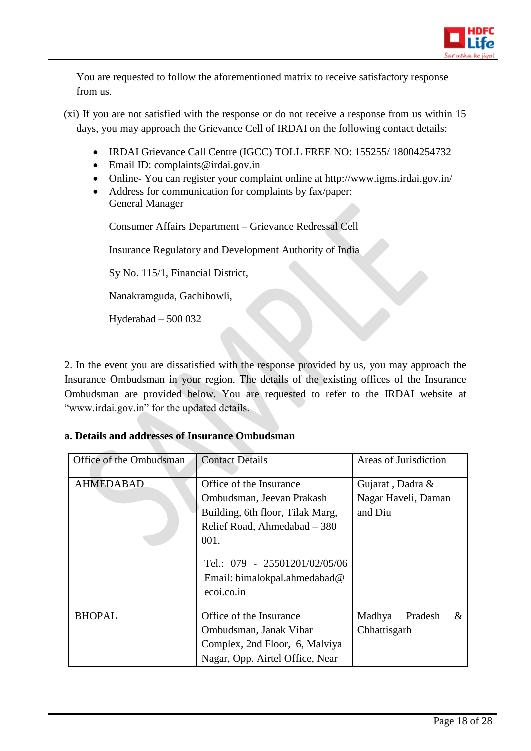

You are requested to follow the aforementioned matrix to receive satisfactory response from us.

- (xi) If you are not satisfied with the response or do not receive a response from us within 15 days, you may approach the Grievance Cell of IRDAI on the following contact details:
	- IRDAI Grievance Call Centre (IGCC) TOLL FREE NO: 155255/ 18004254732
	- Email ID: complaints@irdai.gov.in
	- Online-You can register your complaint online at http://www.igms.irdai.gov.in/
	- Address for communication for complaints by fax/paper: General Manager

Consumer Affairs Department – Grievance Redressal Cell

Insurance Regulatory and Development Authority of India

Sy No. 115/1, Financial District,

Nanakramguda, Gachibowli,

Hyderabad – 500 032

2. In the event you are dissatisfied with the response provided by us, you may approach the Insurance Ombudsman in your region. The details of the existing offices of the Insurance Ombudsman are provided below. You are requested to refer to the IRDAI website at "www.irdai.gov.in" for the updated details.

#### **a. Details and addresses of Insurance Ombudsman**

| Office of the Ombudsman | <b>Contact Details</b>                                                      | Areas of Jurisdiction     |
|-------------------------|-----------------------------------------------------------------------------|---------------------------|
| <b>AHMEDABAD</b>        | Office of the Insurance                                                     | Gujarat, Dadra &          |
|                         | Ombudsman, Jeevan Prakash                                                   | Nagar Haveli, Daman       |
|                         | Building, 6th floor, Tilak Marg,                                            | and Diu                   |
|                         | Relief Road, Ahmedabad - 380                                                |                           |
|                         | 001.                                                                        |                           |
|                         | Tel.: 079 - 25501201/02/05/06<br>Email: bimalokpal.ahmedabad@<br>ecoi.co.in |                           |
| <b>BHOPAL</b>           | Office of the Insurance                                                     | Madhya<br>$\&$<br>Pradesh |
|                         | Ombudsman, Janak Vihar                                                      | Chhattisgarh              |
|                         | Complex, 2nd Floor, 6, Malviya                                              |                           |
|                         | Nagar, Opp. Airtel Office, Near                                             |                           |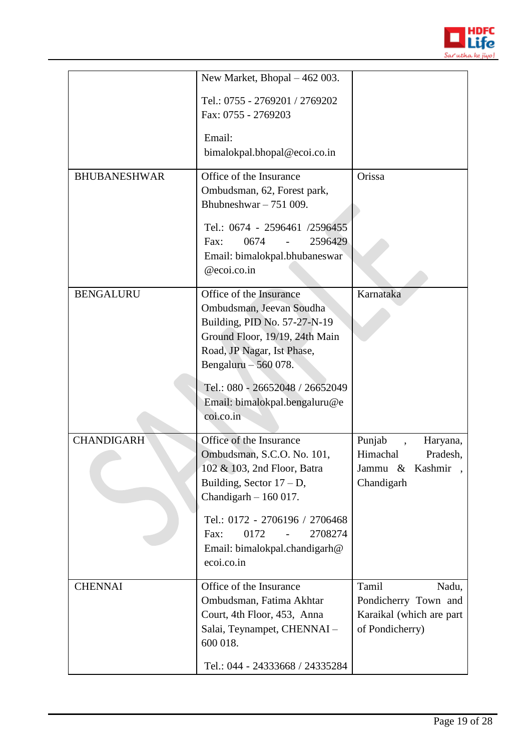

|                     | New Market, Bhopal - 462 003.                                                                                                                                                                                                                                 |                                                                                       |
|---------------------|---------------------------------------------------------------------------------------------------------------------------------------------------------------------------------------------------------------------------------------------------------------|---------------------------------------------------------------------------------------|
|                     | Tel.: 0755 - 2769201 / 2769202<br>Fax: 0755 - 2769203                                                                                                                                                                                                         |                                                                                       |
|                     | Email:<br>bimalokpal.bhopal@ecoi.co.in                                                                                                                                                                                                                        |                                                                                       |
| <b>BHUBANESHWAR</b> | Office of the Insurance<br>Ombudsman, 62, Forest park,<br>Bhubneshwar $-751009$ .<br>Tel.: 0674 - 2596461 /2596455<br>0674<br>2596429<br>Fax:<br>Email: bimalokpal.bhubaneswar<br>@ecoi.co.in                                                                 | Orissa                                                                                |
| <b>BENGALURU</b>    | Office of the Insurance<br>Ombudsman, Jeevan Soudha<br>Building, PID No. 57-27-N-19<br>Ground Floor, 19/19, 24th Main<br>Road, JP Nagar, Ist Phase,<br>Bengaluru $-560078$ .<br>Tel.: 080 - 26652048 / 26652049<br>Email: bimalokpal.bengaluru@e<br>coi.co.in | Karnataka                                                                             |
| <b>CHANDIGARH</b>   | Office of the Insurance<br>Ombudsman, S.C.O. No. 101,<br>102 & 103, 2nd Floor, Batra<br>Building, Sector $17 - D$ ,<br>Chandigarh $-160017$ .<br>Tel.: 0172 - 2706196 / 2706468<br>2708274<br>0172<br>Fax:<br>Email: bimalokpal.chandigarh@<br>ecoi.co.in     | Punjab<br>Haryana,<br>Himachal<br>Pradesh,<br>Jammu &<br>Kashmir<br>Chandigarh        |
| <b>CHENNAI</b>      | Office of the Insurance<br>Ombudsman, Fatima Akhtar<br>Court, 4th Floor, 453, Anna<br>Salai, Teynampet, CHENNAI -<br>600 018.<br>Tel.: 044 - 24333668 / 24335284                                                                                              | Tamil<br>Nadu,<br>Pondicherry Town and<br>Karaikal (which are part<br>of Pondicherry) |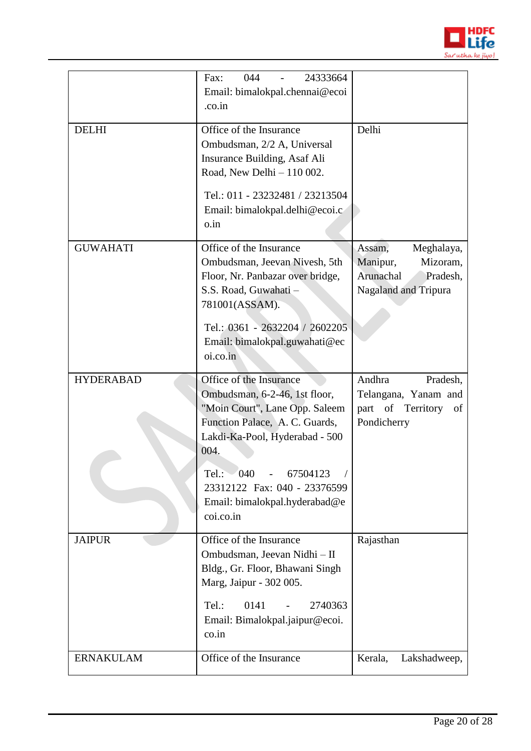

|                  | 24333664<br>044<br>Fax:<br>Email: bimalokpal.chennai@ecoi<br>.co.in                                                                                                                                                           |                                                                                               |
|------------------|-------------------------------------------------------------------------------------------------------------------------------------------------------------------------------------------------------------------------------|-----------------------------------------------------------------------------------------------|
| <b>DELHI</b>     | Office of the Insurance<br>Ombudsman, 2/2 A, Universal<br>Insurance Building, Asaf Ali<br>Road, New Delhi - 110 002.<br>Tel.: 011 - 23232481 / 23213504<br>Email: bimalokpal.delhi@ecoi.c<br>o.in                             | Delhi                                                                                         |
| <b>GUWAHATI</b>  | Office of the Insurance<br>Ombudsman, Jeevan Nivesh, 5th<br>Floor, Nr. Panbazar over bridge,<br>S.S. Road, Guwahati -<br>781001(ASSAM).<br>Tel.: 0361 - 2632204 / 2602205<br>Email: bimalokpal.guwahati@ec<br>oi.co.in        | Assam,<br>Meghalaya,<br>Mizoram,<br>Manipur,<br>Arunachal<br>Pradesh,<br>Nagaland and Tripura |
| <b>HYDERABAD</b> | Office of the Insurance<br>Ombudsman, 6-2-46, 1st floor,                                                                                                                                                                      | Andhra<br>Pradesh,<br>Telangana, Yanam and                                                    |
|                  | "Moin Court", Lane Opp. Saleem<br>Function Palace, A. C. Guards,<br>Lakdi-Ka-Pool, Hyderabad - 500<br>004.<br>Tel:<br>$-040$<br>67504123<br>23312122 Fax: 040 - 23376599<br>Email: bimalokpal.hyderabad@e<br>coi.co.in        | part of Territory<br>of<br>Pondicherry                                                        |
| <b>JAIPUR</b>    | Office of the Insurance<br>Ombudsman, Jeevan Nidhi - II<br>Bldg., Gr. Floor, Bhawani Singh<br>Marg, Jaipur - 302 005.<br>0141<br>2740363<br>Tel.:<br>$\overline{\phantom{a}}$<br>Email: Bimalokpal.jaipur@ecoi.<br>$\cos$ .in | Rajasthan                                                                                     |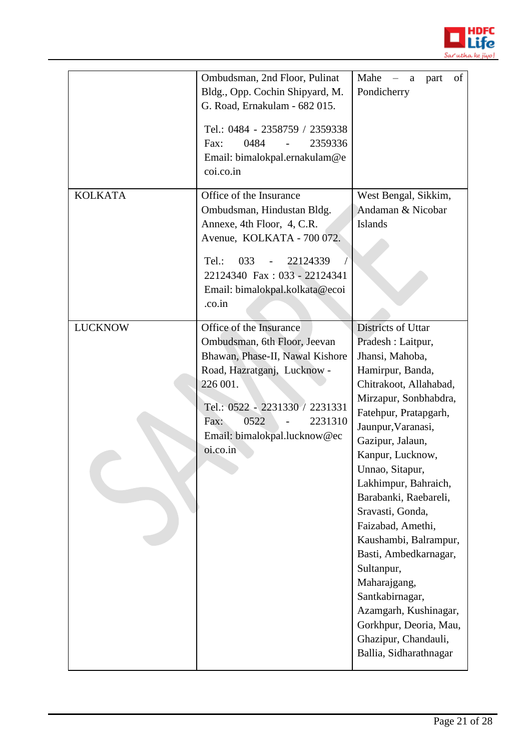

|                | Ombudsman, 2nd Floor, Pulinat<br>Bldg., Opp. Cochin Shipyard, M.<br>G. Road, Ernakulam - 682 015.<br>Tel.: 0484 - 2358759 / 2359338<br>2359336<br>0484<br>Fax:<br>Email: bimalokpal.ernakulam@e<br>coi.co.in                                   | Mahe<br>of<br>part<br>a<br>Pondicherry                                                                                                                                                                                                                                                                                                                                                                                                                                                                                                         |
|----------------|------------------------------------------------------------------------------------------------------------------------------------------------------------------------------------------------------------------------------------------------|------------------------------------------------------------------------------------------------------------------------------------------------------------------------------------------------------------------------------------------------------------------------------------------------------------------------------------------------------------------------------------------------------------------------------------------------------------------------------------------------------------------------------------------------|
| <b>KOLKATA</b> | Office of the Insurance<br>Ombudsman, Hindustan Bldg.<br>Annexe, 4th Floor, 4, C.R.<br>Avenue, KOLKATA - 700 072.<br>033<br>22124339<br>Tel.:<br>22124340 Fax: 033 - 22124341<br>Email: bimalokpal.kolkata@ecoi<br>.co.in                      | West Bengal, Sikkim,<br>Andaman & Nicobar<br><b>Islands</b>                                                                                                                                                                                                                                                                                                                                                                                                                                                                                    |
| <b>LUCKNOW</b> | Office of the Insurance<br>Ombudsman, 6th Floor, Jeevan<br>Bhawan, Phase-II, Nawal Kishore<br>Road, Hazratganj, Lucknow -<br>226 001.<br>Tel.: 0522 - 2231330 / 2231331<br>0522<br>2231310<br>Fax:<br>Email: bimalokpal.lucknow@ec<br>oi.co.in | Districts of Uttar<br>Pradesh : Laitpur,<br>Jhansi, Mahoba,<br>Hamirpur, Banda,<br>Chitrakoot, Allahabad,<br>Mirzapur, Sonbhabdra,<br>Fatehpur, Pratapgarh,<br>Jaunpur, Varanasi,<br>Gazipur, Jalaun,<br>Kanpur, Lucknow,<br>Unnao, Sitapur,<br>Lakhimpur, Bahraich,<br>Barabanki, Raebareli,<br>Sravasti, Gonda,<br>Faizabad, Amethi,<br>Kaushambi, Balrampur,<br>Basti, Ambedkarnagar,<br>Sultanpur,<br>Maharajgang,<br>Santkabirnagar,<br>Azamgarh, Kushinagar,<br>Gorkhpur, Deoria, Mau,<br>Ghazipur, Chandauli,<br>Ballia, Sidharathnagar |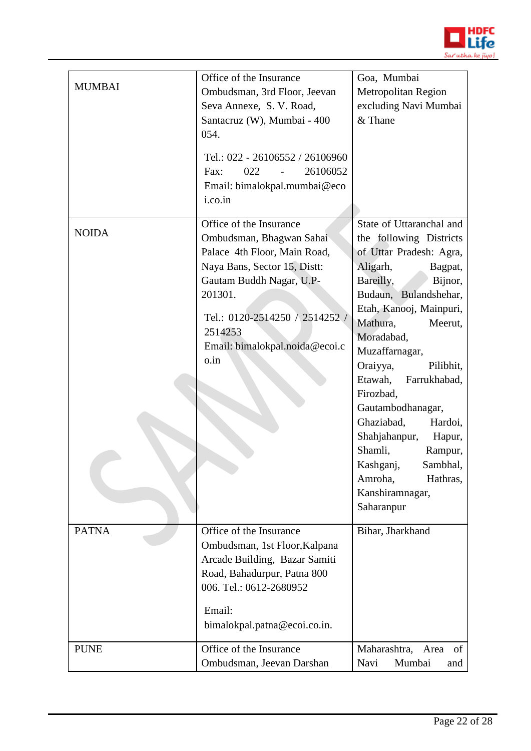

| <b>MUMBAI</b> | Office of the Insurance<br>Ombudsman, 3rd Floor, Jeevan<br>Seva Annexe, S. V. Road,<br>Santacruz (W), Mumbai - 400<br>054.<br>Tel.: 022 - 26106552 / 26106960<br>26106052<br>022<br>Fax:<br>$\overline{\phantom{a}}$<br>Email: bimalokpal.mumbai@eco<br>i.co.in | Goa, Mumbai<br>Metropolitan Region<br>excluding Navi Mumbai<br>& Thane                                                                                                                                                                                                                                                                                                                                                                                                                    |
|---------------|-----------------------------------------------------------------------------------------------------------------------------------------------------------------------------------------------------------------------------------------------------------------|-------------------------------------------------------------------------------------------------------------------------------------------------------------------------------------------------------------------------------------------------------------------------------------------------------------------------------------------------------------------------------------------------------------------------------------------------------------------------------------------|
| <b>NOIDA</b>  | Office of the Insurance<br>Ombudsman, Bhagwan Sahai<br>Palace 4th Floor, Main Road,<br>Naya Bans, Sector 15, Distt:<br>Gautam Buddh Nagar, U.P-<br>201301.<br>Tel.: 0120-2514250 / 2514252 /<br>2514253<br>Email: bimalokpal.noida@ecoi.c<br>o.in               | State of Uttaranchal and<br>the following Districts<br>of Uttar Pradesh: Agra,<br>Aligarh,<br>Bagpat,<br>Bareilly,<br>Bijnor,<br>Budaun, Bulandshehar,<br>Etah, Kanooj, Mainpuri,<br>Mathura,<br>Meerut,<br>Moradabad,<br>Muzaffarnagar,<br>Oraiyya,<br>Pilibhit,<br>Etawah,<br>Farrukhabad,<br>Firozbad,<br>Gautambodhanagar,<br>Ghaziabad,<br>Hardoi,<br>Shahjahanpur,<br>Hapur,<br>Shamli,<br>Rampur,<br>Kashganj,<br>Sambhal,<br>Hathras,<br>Amroha,<br>Kanshiramnagar,<br>Saharanpur |
| <b>PATNA</b>  | Office of the Insurance<br>Ombudsman, 1st Floor, Kalpana<br>Arcade Building, Bazar Samiti<br>Road, Bahadurpur, Patna 800<br>006. Tel.: 0612-2680952<br>Email:<br>bimalokpal.patna@ecoi.co.in.                                                                   | Bihar, Jharkhand                                                                                                                                                                                                                                                                                                                                                                                                                                                                          |
| <b>PUNE</b>   | Office of the Insurance<br>Ombudsman, Jeevan Darshan                                                                                                                                                                                                            | Maharashtra,<br>Area<br>of<br>Navi<br>Mumbai<br>and                                                                                                                                                                                                                                                                                                                                                                                                                                       |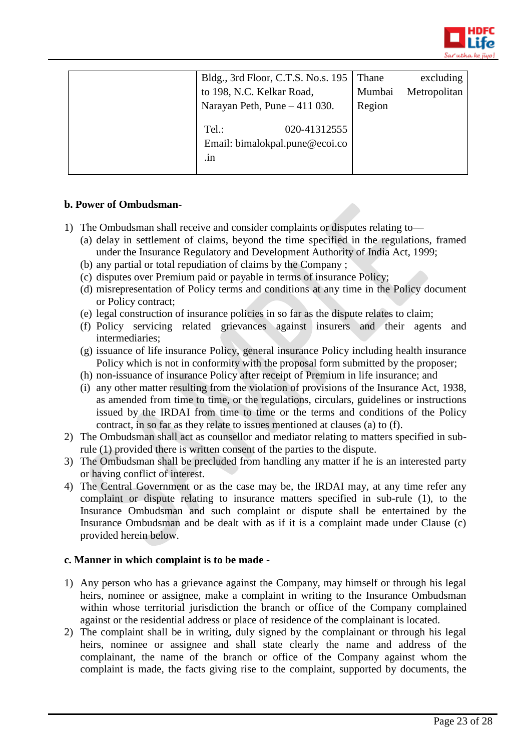

| Bldg., 3rd Floor, C.T.S. No.s. 195                                                | Thane  | excluding    |
|-----------------------------------------------------------------------------------|--------|--------------|
| to 198, N.C. Kelkar Road,                                                         | Mumbai | Metropolitan |
| Narayan Peth, Pune - 411 030.                                                     | Region |              |
| Tel.:<br>020-41312555<br>Email: bimalokpal.pune@ecoi.co<br>$\cdot$ <sub>1</sub> n |        |              |

# **b. Power of Ombudsman-**

- 1) The Ombudsman shall receive and consider complaints or disputes relating to—
	- (a) delay in settlement of claims, beyond the time specified in the regulations, framed under the Insurance Regulatory and Development Authority of India Act, 1999;
	- (b) any partial or total repudiation of claims by the Company ;
	- (c) disputes over Premium paid or payable in terms of insurance Policy;
	- (d) misrepresentation of Policy terms and conditions at any time in the Policy document or Policy contract;
	- (e) legal construction of insurance policies in so far as the dispute relates to claim;
	- (f) Policy servicing related grievances against insurers and their agents and intermediaries;
	- (g) issuance of life insurance Policy, general insurance Policy including health insurance Policy which is not in conformity with the proposal form submitted by the proposer;
	- (h) non-issuance of insurance Policy after receipt of Premium in life insurance; and
	- (i) any other matter resulting from the violation of provisions of the Insurance Act, 1938, as amended from time to time, or the regulations, circulars, guidelines or instructions issued by the IRDAI from time to time or the terms and conditions of the Policy contract, in so far as they relate to issues mentioned at clauses (a) to (f).
- 2) The Ombudsman shall act as counsellor and mediator relating to matters specified in subrule (1) provided there is written consent of the parties to the dispute.
- 3) The Ombudsman shall be precluded from handling any matter if he is an interested party or having conflict of interest.
- 4) The Central Government or as the case may be, the IRDAI may, at any time refer any complaint or dispute relating to insurance matters specified in sub-rule (1), to the Insurance Ombudsman and such complaint or dispute shall be entertained by the Insurance Ombudsman and be dealt with as if it is a complaint made under Clause (c) provided herein below.

#### **c. Manner in which complaint is to be made -**

- 1) Any person who has a grievance against the Company, may himself or through his legal heirs, nominee or assignee, make a complaint in writing to the Insurance Ombudsman within whose territorial jurisdiction the branch or office of the Company complained against or the residential address or place of residence of the complainant is located.
- 2) The complaint shall be in writing, duly signed by the complainant or through his legal heirs, nominee or assignee and shall state clearly the name and address of the complainant, the name of the branch or office of the Company against whom the complaint is made, the facts giving rise to the complaint, supported by documents, the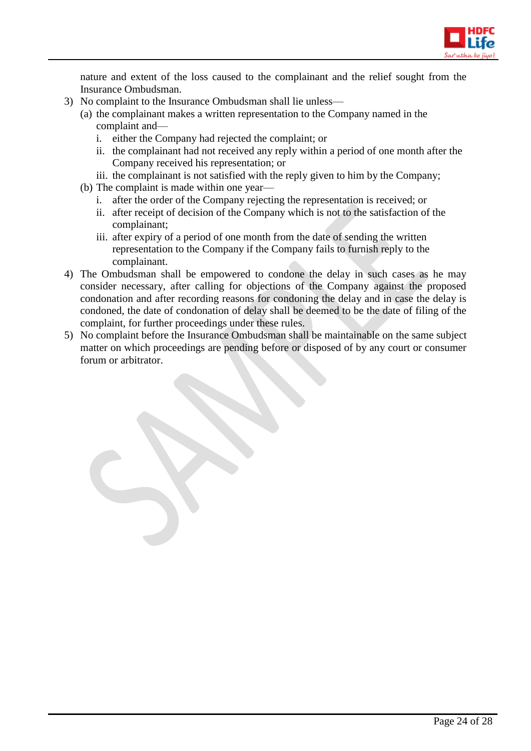

nature and extent of the loss caused to the complainant and the relief sought from the Insurance Ombudsman.

- 3) No complaint to the Insurance Ombudsman shall lie unless—
	- (a) the complainant makes a written representation to the Company named in the complaint and
		- i. either the Company had rejected the complaint; or
		- ii. the complainant had not received any reply within a period of one month after the Company received his representation; or
		- iii. the complainant is not satisfied with the reply given to him by the Company;
	- (b) The complaint is made within one year
		- i. after the order of the Company rejecting the representation is received; or
		- ii. after receipt of decision of the Company which is not to the satisfaction of the complainant;
		- iii. after expiry of a period of one month from the date of sending the written representation to the Company if the Company fails to furnish reply to the complainant.
- 4) The Ombudsman shall be empowered to condone the delay in such cases as he may consider necessary, after calling for objections of the Company against the proposed condonation and after recording reasons for condoning the delay and in case the delay is condoned, the date of condonation of delay shall be deemed to be the date of filing of the complaint, for further proceedings under these rules.
- 5) No complaint before the Insurance Ombudsman shall be maintainable on the same subject matter on which proceedings are pending before or disposed of by any court or consumer forum or arbitrator.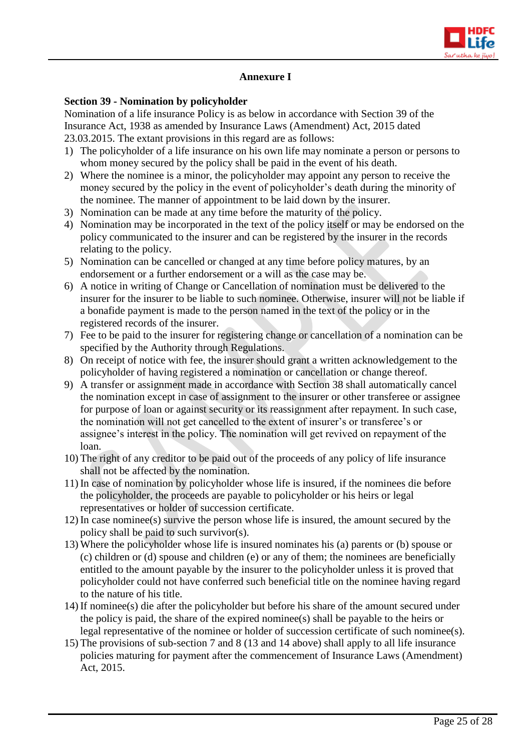

# **Annexure I**

#### **Section 39 - Nomination by policyholder**

Nomination of a life insurance Policy is as below in accordance with Section 39 of the Insurance Act, 1938 as amended by Insurance Laws (Amendment) Act, 2015 dated 23.03.2015. The extant provisions in this regard are as follows:

- 1) The policyholder of a life insurance on his own life may nominate a person or persons to whom money secured by the policy shall be paid in the event of his death.
- 2) Where the nominee is a minor, the policyholder may appoint any person to receive the money secured by the policy in the event of policyholder's death during the minority of the nominee. The manner of appointment to be laid down by the insurer.
- 3) Nomination can be made at any time before the maturity of the policy.
- 4) Nomination may be incorporated in the text of the policy itself or may be endorsed on the policy communicated to the insurer and can be registered by the insurer in the records relating to the policy.
- 5) Nomination can be cancelled or changed at any time before policy matures, by an endorsement or a further endorsement or a will as the case may be.
- 6) A notice in writing of Change or Cancellation of nomination must be delivered to the insurer for the insurer to be liable to such nominee. Otherwise, insurer will not be liable if a bonafide payment is made to the person named in the text of the policy or in the registered records of the insurer.
- 7) Fee to be paid to the insurer for registering change or cancellation of a nomination can be specified by the Authority through Regulations.
- 8) On receipt of notice with fee, the insurer should grant a written acknowledgement to the policyholder of having registered a nomination or cancellation or change thereof.
- 9) A transfer or assignment made in accordance with Section 38 shall automatically cancel the nomination except in case of assignment to the insurer or other transferee or assignee for purpose of loan or against security or its reassignment after repayment. In such case, the nomination will not get cancelled to the extent of insurer's or transferee's or assignee's interest in the policy. The nomination will get revived on repayment of the loan.
- 10) The right of any creditor to be paid out of the proceeds of any policy of life insurance shall not be affected by the nomination.
- 11) In case of nomination by policyholder whose life is insured, if the nominees die before the policyholder, the proceeds are payable to policyholder or his heirs or legal representatives or holder of succession certificate.
- 12) In case nominee(s) survive the person whose life is insured, the amount secured by the policy shall be paid to such survivor(s).
- 13) Where the policyholder whose life is insured nominates his (a) parents or (b) spouse or (c) children or (d) spouse and children (e) or any of them; the nominees are beneficially entitled to the amount payable by the insurer to the policyholder unless it is proved that policyholder could not have conferred such beneficial title on the nominee having regard to the nature of his title.
- 14) If nominee(s) die after the policyholder but before his share of the amount secured under the policy is paid, the share of the expired nominee(s) shall be payable to the heirs or legal representative of the nominee or holder of succession certificate of such nominee(s).
- 15) The provisions of sub-section 7 and 8 (13 and 14 above) shall apply to all life insurance policies maturing for payment after the commencement of Insurance Laws (Amendment) Act, 2015.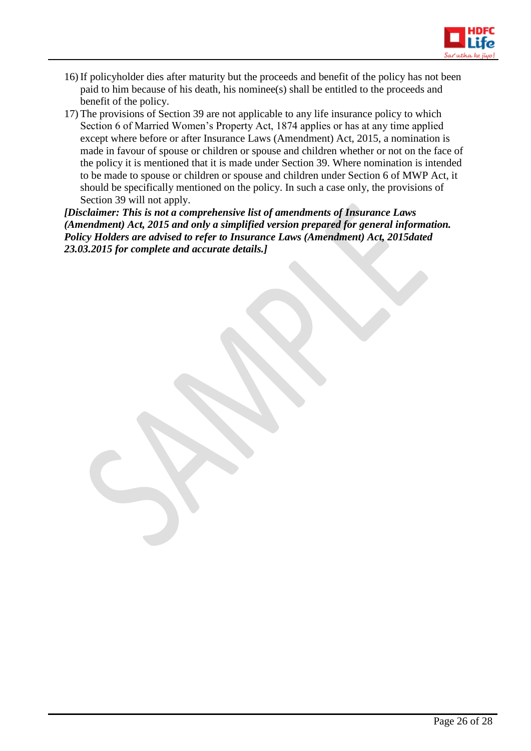

- 16) If policyholder dies after maturity but the proceeds and benefit of the policy has not been paid to him because of his death, his nominee(s) shall be entitled to the proceeds and benefit of the policy.
- 17) The provisions of Section 39 are not applicable to any life insurance policy to which Section 6 of Married Women's Property Act, 1874 applies or has at any time applied except where before or after Insurance Laws (Amendment) Act, 2015, a nomination is made in favour of spouse or children or spouse and children whether or not on the face of the policy it is mentioned that it is made under Section 39. Where nomination is intended to be made to spouse or children or spouse and children under Section 6 of MWP Act, it should be specifically mentioned on the policy. In such a case only, the provisions of Section 39 will not apply.

*[Disclaimer: This is not a comprehensive list of amendments of Insurance Laws (Amendment) Act, 2015 and only a simplified version prepared for general information. Policy Holders are advised to refer to Insurance Laws (Amendment) Act, 2015dated 23.03.2015 for complete and accurate details.]*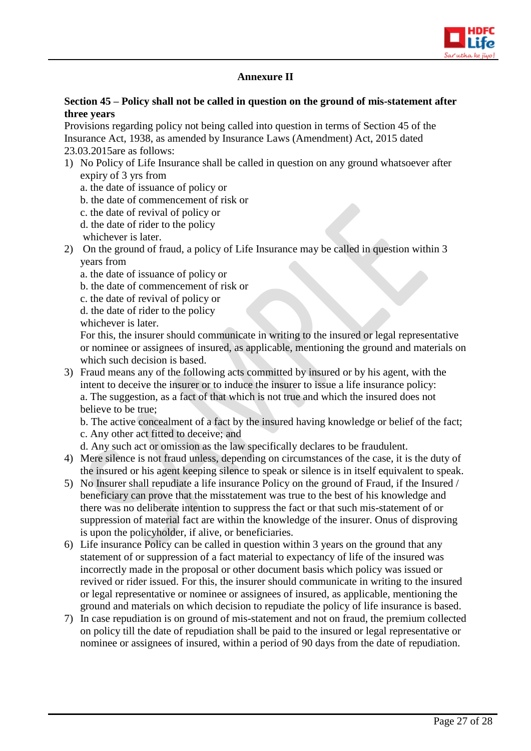

# **Annexure II**

#### **Section 45 – Policy shall not be called in question on the ground of mis-statement after three years**

Provisions regarding policy not being called into question in terms of Section 45 of the Insurance Act, 1938, as amended by Insurance Laws (Amendment) Act, 2015 dated 23.03.2015are as follows:

- 1) No Policy of Life Insurance shall be called in question on any ground whatsoever after expiry of 3 yrs from
	- a. the date of issuance of policy or
	- b. the date of commencement of risk or
	- c. the date of revival of policy or
	- d. the date of rider to the policy
	- whichever is later.
- 2) On the ground of fraud, a policy of Life Insurance may be called in question within 3 years from
	- a. the date of issuance of policy or
	- b. the date of commencement of risk or
	- c. the date of revival of policy or
	- d. the date of rider to the policy
	- whichever is later.

For this, the insurer should communicate in writing to the insured or legal representative or nominee or assignees of insured, as applicable, mentioning the ground and materials on which such decision is based.

3) Fraud means any of the following acts committed by insured or by his agent, with the intent to deceive the insurer or to induce the insurer to issue a life insurance policy: a. The suggestion, as a fact of that which is not true and which the insured does not believe to be true;

b. The active concealment of a fact by the insured having knowledge or belief of the fact; c. Any other act fitted to deceive; and

- d. Any such act or omission as the law specifically declares to be fraudulent.
- 4) Mere silence is not fraud unless, depending on circumstances of the case, it is the duty of the insured or his agent keeping silence to speak or silence is in itself equivalent to speak.
- 5) No Insurer shall repudiate a life insurance Policy on the ground of Fraud, if the Insured / beneficiary can prove that the misstatement was true to the best of his knowledge and there was no deliberate intention to suppress the fact or that such mis-statement of or suppression of material fact are within the knowledge of the insurer. Onus of disproving is upon the policyholder, if alive, or beneficiaries.
- 6) Life insurance Policy can be called in question within 3 years on the ground that any statement of or suppression of a fact material to expectancy of life of the insured was incorrectly made in the proposal or other document basis which policy was issued or revived or rider issued. For this, the insurer should communicate in writing to the insured or legal representative or nominee or assignees of insured, as applicable, mentioning the ground and materials on which decision to repudiate the policy of life insurance is based.
- 7) In case repudiation is on ground of mis-statement and not on fraud, the premium collected on policy till the date of repudiation shall be paid to the insured or legal representative or nominee or assignees of insured, within a period of 90 days from the date of repudiation.